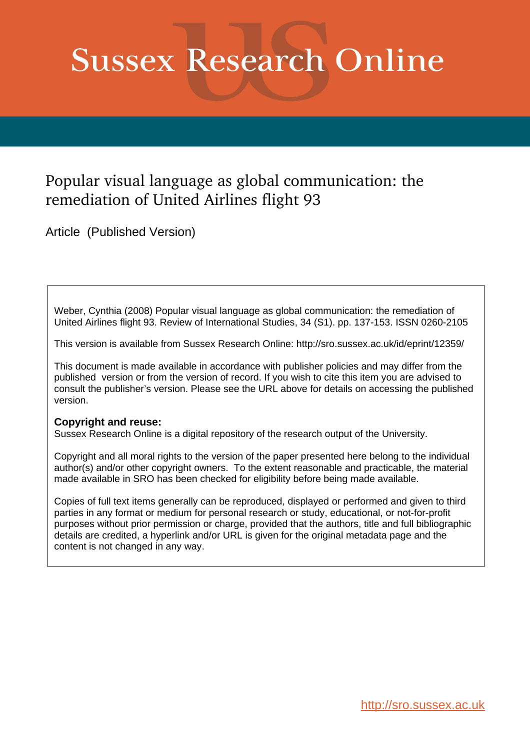# **Sussex Research Online**

# Popular visual language as global communication: the remediation of United Airlines flight 93

Article (Published Version)

Weber, Cynthia (2008) Popular visual language as global communication: the remediation of United Airlines flight 93. Review of International Studies, 34 (S1). pp. 137-153. ISSN 0260-2105

This version is available from Sussex Research Online: http://sro.sussex.ac.uk/id/eprint/12359/

This document is made available in accordance with publisher policies and may differ from the published version or from the version of record. If you wish to cite this item you are advised to consult the publisher's version. Please see the URL above for details on accessing the published version.

### **Copyright and reuse:**

Sussex Research Online is a digital repository of the research output of the University.

Copyright and all moral rights to the version of the paper presented here belong to the individual author(s) and/or other copyright owners. To the extent reasonable and practicable, the material made available in SRO has been checked for eligibility before being made available.

Copies of full text items generally can be reproduced, displayed or performed and given to third parties in any format or medium for personal research or study, educational, or not-for-profit purposes without prior permission or charge, provided that the authors, title and full bibliographic details are credited, a hyperlink and/or URL is given for the original metadata page and the content is not changed in any way.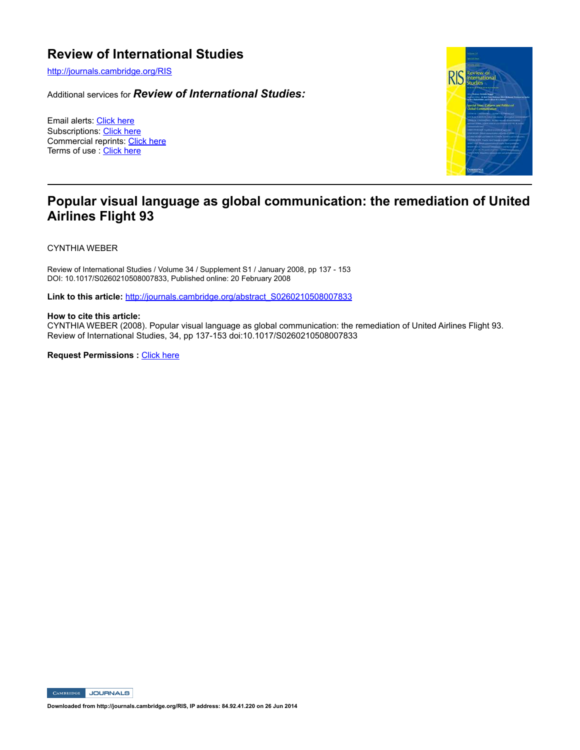## **Review of International Studies**

http://journals.cambridge.org/RIS

Additional services for *Review of International Studies:*

Email alerts: Click here Subscriptions: Click here Commercial reprints: Click here Terms of use : Click here



## **Popular visual language as global communication: the remediation of United Airlines Flight 93**

CYNTHIA WEBER

Review of International Studies / Volume 34 / Supplement S1 / January 2008, pp 137 - 153 DOI: 10.1017/S0260210508007833, Published online: 20 February 2008

**Link to this article:** http://journals.cambridge.org/abstract\_S0260210508007833

#### **How to cite this article:**

CYNTHIA WEBER (2008). Popular visual language as global communication: the remediation of United Airlines Flight 93. Review of International Studies, 34, pp 137-153 doi:10.1017/S0260210508007833

**Request Permissions : Click here** 

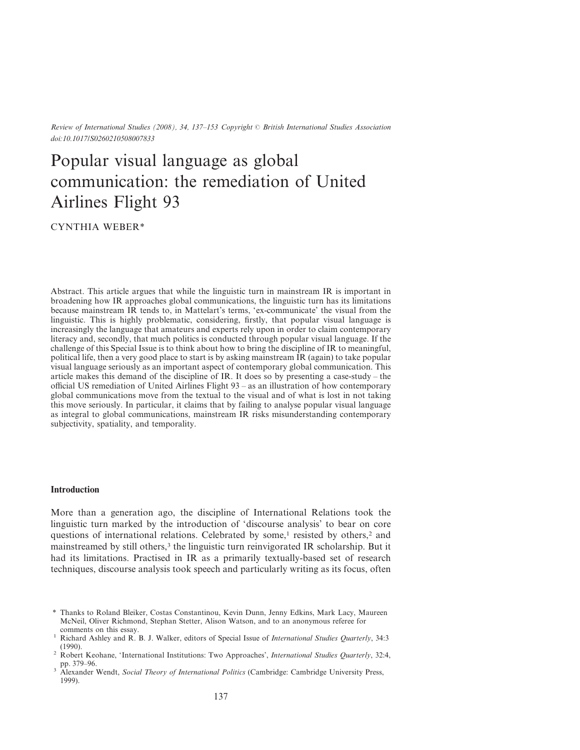*Review of International Studies (2008), 34, 137–153 Copyright British International Studies Association doi:10.1017/S0260210508007833*

## Popular visual language as global communication: the remediation of United Airlines Flight 93

CYNTHIA WEBER\*

Abstract. This article argues that while the linguistic turn in mainstream IR is important in broadening how IR approaches global communications, the linguistic turn has its limitations because mainstream IR tends to, in Mattelart's terms, 'ex-communicate' the visual from the linguistic. This is highly problematic, considering, firstly, that popular visual language is increasingly the language that amateurs and experts rely upon in order to claim contemporary literacy and, secondly, that much politics is conducted through popular visual language. If the challenge of this Special Issue is to think about how to bring the discipline of IR to meaningful, political life, then a very good place to start is by asking mainstream IR (again) to take popular visual language seriously as an important aspect of contemporary global communication. This article makes this demand of the discipline of IR. It does so by presenting a case-study – the official US remediation of United Airlines Flight 93 – as an illustration of how contemporary global communications move from the textual to the visual and of what is lost in not taking this move seriously. In particular, it claims that by failing to analyse popular visual language as integral to global communications, mainstream IR risks misunderstanding contemporary subjectivity, spatiality, and temporality.

#### **Introduction**

More than a generation ago, the discipline of International Relations took the linguistic turn marked by the introduction of 'discourse analysis' to bear on core questions of international relations. Celebrated by some,<sup>1</sup> resisted by others,<sup>2</sup> and mainstreamed by still others,<sup>3</sup> the linguistic turn reinvigorated IR scholarship. But it had its limitations. Practised in IR as a primarily textually-based set of research techniques, discourse analysis took speech and particularly writing as its focus, often

<sup>\*</sup> Thanks to Roland Bleiker, Costas Constantinou, Kevin Dunn, Jenny Edkins, Mark Lacy, Maureen McNeil, Oliver Richmond, Stephan Stetter, Alison Watson, and to an anonymous referee for

comments on this essay. <sup>1</sup> Richard Ashley and R. B. J. Walker, editors of Special Issue of *International Studies Quarterly*, 34:3

<sup>(1990).</sup> <sup>2</sup> Robert Keohane, 'International Institutions: Two Approaches', *International Studies Quarterly*, 32:4,

<sup>&</sup>lt;sup>3</sup> Alexander Wendt, *Social Theory of International Politics* (Cambridge: Cambridge University Press, 1999).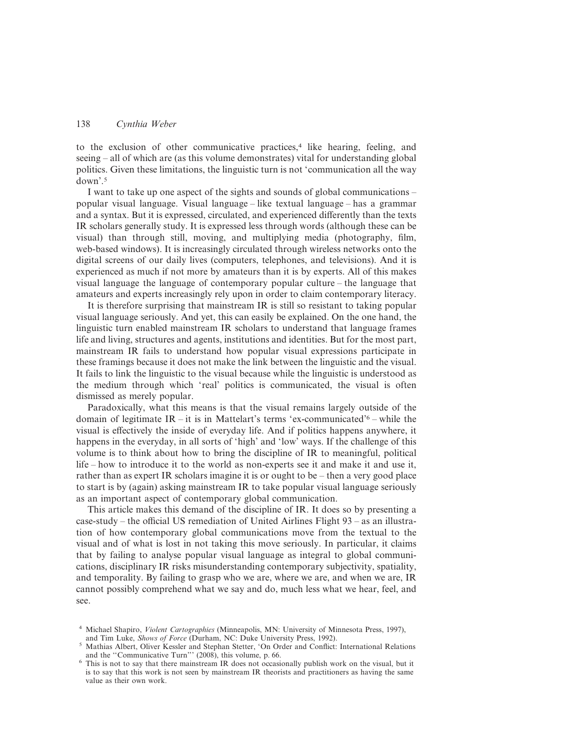to the exclusion of other communicative practices,<sup>4</sup> like hearing, feeling, and seeing – all of which are (as this volume demonstrates) vital for understanding global politics. Given these limitations, the linguistic turn is not 'communication all the way down'.5

I want to take up one aspect of the sights and sounds of global communications – popular visual language. Visual language – like textual language – has a grammar and a syntax. But it is expressed, circulated, and experienced differently than the texts IR scholars generally study. It is expressed less through words (although these can be visual) than through still, moving, and multiplying media (photography, film, web-based windows). It is increasingly circulated through wireless networks onto the digital screens of our daily lives (computers, telephones, and televisions). And it is experienced as much if not more by amateurs than it is by experts. All of this makes visual language the language of contemporary popular culture – the language that amateurs and experts increasingly rely upon in order to claim contemporary literacy.

It is therefore surprising that mainstream IR is still so resistant to taking popular visual language seriously. And yet, this can easily be explained. On the one hand, the linguistic turn enabled mainstream IR scholars to understand that language frames life and living, structures and agents, institutions and identities. But for the most part, mainstream IR fails to understand how popular visual expressions participate in these framings because it does not make the link between the linguistic and the visual. It fails to link the linguistic to the visual because while the linguistic is understood as the medium through which 'real' politics is communicated, the visual is often dismissed as merely popular.

Paradoxically, what this means is that the visual remains largely outside of the domain of legitimate IR – it is in Mattelart's terms 'ex-communicated'<sup> $6$ </sup> – while the visual is effectively the inside of everyday life. And if politics happens anywhere, it happens in the everyday, in all sorts of 'high' and 'low' ways. If the challenge of this volume is to think about how to bring the discipline of IR to meaningful, political life – how to introduce it to the world as non-experts see it and make it and use it, rather than as expert IR scholars imagine it is or ought to be – then a very good place to start is by (again) asking mainstream IR to take popular visual language seriously as an important aspect of contemporary global communication.

This article makes this demand of the discipline of IR. It does so by presenting a case-study – the official US remediation of United Airlines Flight 93 – as an illustration of how contemporary global communications move from the textual to the visual and of what is lost in not taking this move seriously. In particular, it claims that by failing to analyse popular visual language as integral to global communications, disciplinary IR risks misunderstanding contemporary subjectivity, spatiality, and temporality. By failing to grasp who we are, where we are, and when we are, IR cannot possibly comprehend what we say and do, much less what we hear, feel, and see.

<sup>4</sup> Michael Shapiro, *Violent Cartographies* (Minneapolis, MN: University of Minnesota Press, 1997),

<sup>&</sup>lt;sup>5</sup> Mathias Albert, Oliver Kessler and Stephan Stetter, 'On Order and Conflict: International Relations and the "Communicative Turn"' (2008), this volume, p. 66.

 $6$  This is not to say that there mainstream IR does not occasionally publish work on the visual, but it is to say that this work is not seen by mainstream IR theorists and practitioners as having the same value as their own work.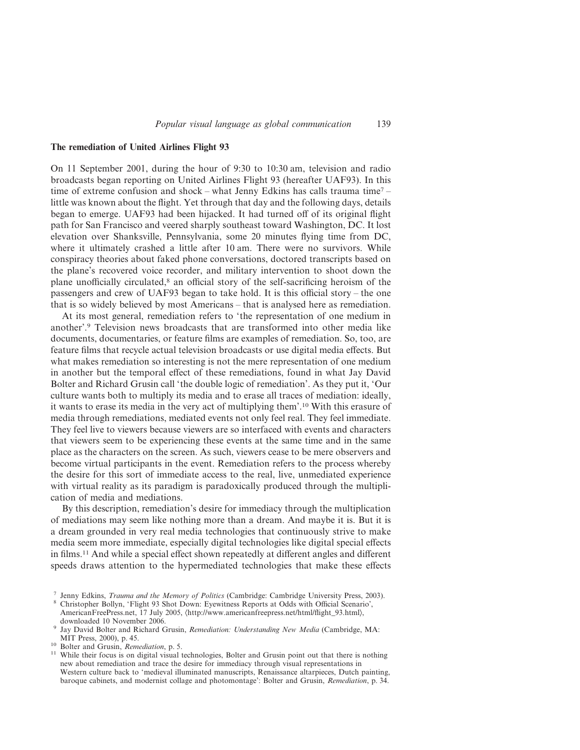#### **The remediation of United Airlines Flight 93**

On 11 September 2001, during the hour of 9:30 to 10:30 am, television and radio broadcasts began reporting on United Airlines Flight 93 (hereafter UAF93). In this time of extreme confusion and shock – what Jenny Edkins has calls trauma time<sup>7</sup> – little was known about the flight. Yet through that day and the following days, details began to emerge. UAF93 had been hijacked. It had turned off of its original flight path for San Francisco and veered sharply southeast toward Washington, DC. It lost elevation over Shanksville, Pennsylvania, some 20 minutes flying time from DC, where it ultimately crashed a little after 10 am. There were no survivors. While conspiracy theories about faked phone conversations, doctored transcripts based on the plane's recovered voice recorder, and military intervention to shoot down the plane unofficially circulated,8 an official story of the self-sacrificing heroism of the passengers and crew of UAF93 began to take hold. It is this official story – the one that is so widely believed by most Americans – that is analysed here as remediation.

At its most general, remediation refers to 'the representation of one medium in another'.9 Television news broadcasts that are transformed into other media like documents, documentaries, or feature films are examples of remediation. So, too, are feature films that recycle actual television broadcasts or use digital media effects. But what makes remediation so interesting is not the mere representation of one medium in another but the temporal effect of these remediations, found in what Jay David Bolter and Richard Grusin call 'the double logic of remediation'. As they put it, 'Our culture wants both to multiply its media and to erase all traces of mediation: ideally, it wants to erase its media in the very act of multiplying them'.10 With this erasure of media through remediations, mediated events not only feel real. They feel immediate. They feel live to viewers because viewers are so interfaced with events and characters that viewers seem to be experiencing these events at the same time and in the same place as the characters on the screen. As such, viewers cease to be mere observers and become virtual participants in the event. Remediation refers to the process whereby the desire for this sort of immediate access to the real, live, unmediated experience with virtual reality as its paradigm is paradoxically produced through the multiplication of media and mediations.

By this description, remediation's desire for immediacy through the multiplication of mediations may seem like nothing more than a dream. And maybe it is. But it is a dream grounded in very real media technologies that continuously strive to make media seem more immediate, especially digital technologies like digital special effects in films.11 And while a special effect shown repeatedly at different angles and different speeds draws attention to the hypermediated technologies that make these effects

<sup>7</sup> Jenny Edkins, *Trauma and the Memory of Politics* (Cambridge: Cambridge University Press, 2003). <sup>8</sup> Christopher Bollyn, 'Flight 93 Shot Down: Eyewitness Reports at Odds with Official Scenario',

AmericanFreePress.net, 17 July 2005, 〈http://www.americanfreepress.net/html/flight\_93.html〉,

downloaded 10 November 2006.<br><sup>9</sup> Jay David Bolter and Richard Grusin, *Remediation: Understanding New Media* (Cambridge, MA: MIT Press, 2000), p. 45.

<sup>&</sup>lt;sup>10</sup> Bolter and Grusin, *Remediation*, p. 5.<br><sup>11</sup> While their focus is on digital visual technologies, Bolter and Grusin point out that there is nothing new about remediation and trace the desire for immediacy through visual representations in Western culture back to 'medieval illuminated manuscripts, Renaissance altarpieces, Dutch painting, baroque cabinets, and modernist collage and photomontage': Bolter and Grusin, *Remediation*, p. 34.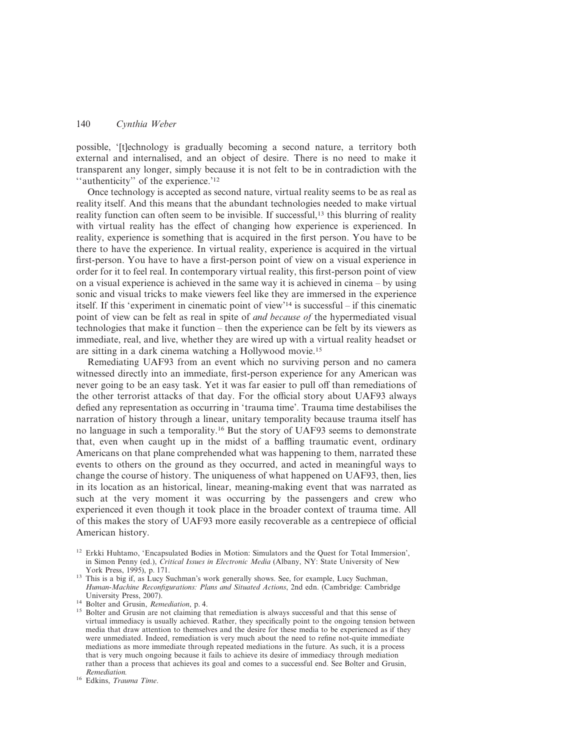possible, '[t]echnology is gradually becoming a second nature, a territory both external and internalised, and an object of desire. There is no need to make it transparent any longer, simply because it is not felt to be in contradiction with the ''authenticity'' of the experience.'12

Once technology is accepted as second nature, virtual reality seems to be as real as reality itself. And this means that the abundant technologies needed to make virtual reality function can often seem to be invisible. If successful,13 this blurring of reality with virtual reality has the effect of changing how experience is experienced. In reality, experience is something that is acquired in the first person. You have to be there to have the experience. In virtual reality, experience is acquired in the virtual first-person. You have to have a first-person point of view on a visual experience in order for it to feel real. In contemporary virtual reality, this first-person point of view on a visual experience is achieved in the same way it is achieved in cinema – by using sonic and visual tricks to make viewers feel like they are immersed in the experience itself. If this 'experiment in cinematic point of view'14 is successful – if this cinematic point of view can be felt as real in spite of *and because of* the hypermediated visual technologies that make it function – then the experience can be felt by its viewers as immediate, real, and live, whether they are wired up with a virtual reality headset or are sitting in a dark cinema watching a Hollywood movie.15

Remediating UAF93 from an event which no surviving person and no camera witnessed directly into an immediate, first-person experience for any American was never going to be an easy task. Yet it was far easier to pull off than remediations of the other terrorist attacks of that day. For the official story about UAF93 always defied any representation as occurring in 'trauma time'. Trauma time destabilises the narration of history through a linear, unitary temporality because trauma itself has no language in such a temporality.16 But the story of UAF93 seems to demonstrate that, even when caught up in the midst of a baffling traumatic event, ordinary Americans on that plane comprehended what was happening to them, narrated these events to others on the ground as they occurred, and acted in meaningful ways to change the course of history. The uniqueness of what happened on UAF93, then, lies in its location as an historical, linear, meaning-making event that was narrated as such at the very moment it was occurring by the passengers and crew who experienced it even though it took place in the broader context of trauma time. All of this makes the story of UAF93 more easily recoverable as a centrepiece of official American history.

- <sup>12</sup> Erkki Huhtamo, 'Encapsulated Bodies in Motion: Simulators and the Quest for Total Immersion', in Simon Penny (ed.), *Critical Issues in Electronic Media* (Albany, NY: State University of New
- York Press, 1995), p. 171.<br><sup>13</sup> This is a big if, as Lucy Suchman's work generally shows. See, for example, Lucy Suchman, *Human-Machine Reconfigurations: Plans and Situated Actions*, 2nd edn. (Cambridge: Cambridge University Press, 2007). <sup>14</sup> Bolter and Grusin, *Remediation*, p. 4. <sup>15</sup> Bolter and Grusin are not claiming that remediation is always successful and that this sense of
- 
- virtual immediacy is usually achieved. Rather, they specifically point to the ongoing tension between media that draw attention to themselves and the desire for these media to be experienced as if they were unmediated. Indeed, remediation is very much about the need to refine not-quite immediate mediations as more immediate through repeated mediations in the future. As such, it is a process that is very much ongoing because it fails to achieve its desire of immediacy through mediation rather than a process that achieves its goal and comes to a successful end. See Bolter and Grusin, *Remediation.* <sup>16</sup> Edkins, *Trauma Time*.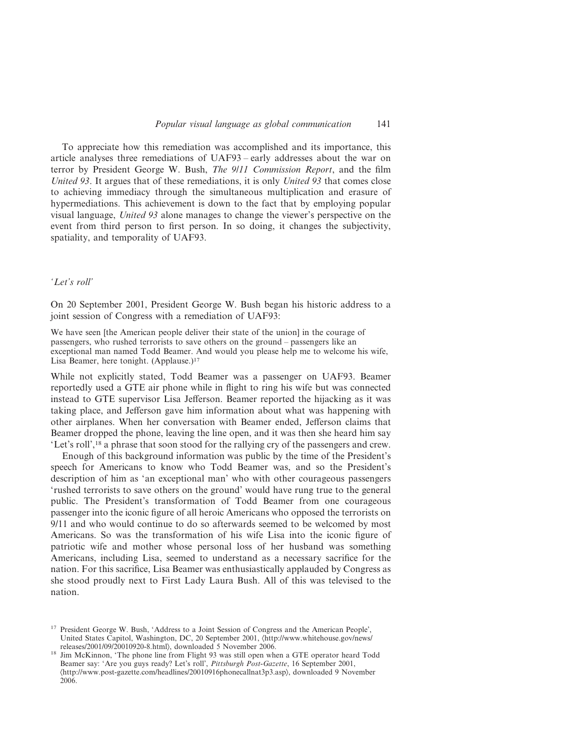To appreciate how this remediation was accomplished and its importance, this article analyses three remediations of UAF93 – early addresses about the war on terror by President George W. Bush, *The 9/11 Commission Report*, and the film *United 93*. It argues that of these remediations, it is only *United 93* that comes close to achieving immediacy through the simultaneous multiplication and erasure of hypermediations. This achievement is down to the fact that by employing popular visual language, *United 93* alone manages to change the viewer's perspective on the event from third person to first person. In so doing, it changes the subjectivity, spatiality, and temporality of UAF93.

#### *'Let's roll'*

On 20 September 2001, President George W. Bush began his historic address to a joint session of Congress with a remediation of UAF93:

We have seen [the American people deliver their state of the union] in the courage of passengers, who rushed terrorists to save others on the ground – passengers like an exceptional man named Todd Beamer. And would you please help me to welcome his wife, Lisa Beamer, here tonight. (Applause.)<sup>17</sup>

While not explicitly stated, Todd Beamer was a passenger on UAF93. Beamer reportedly used a GTE air phone while in flight to ring his wife but was connected instead to GTE supervisor Lisa Jefferson. Beamer reported the hijacking as it was taking place, and Jefferson gave him information about what was happening with other airplanes. When her conversation with Beamer ended, Jefferson claims that Beamer dropped the phone, leaving the line open, and it was then she heard him say 'Let's roll',18 a phrase that soon stood for the rallying cry of the passengers and crew.

Enough of this background information was public by the time of the President's speech for Americans to know who Todd Beamer was, and so the President's description of him as 'an exceptional man' who with other courageous passengers 'rushed terrorists to save others on the ground' would have rung true to the general public. The President's transformation of Todd Beamer from one courageous passenger into the iconic figure of all heroic Americans who opposed the terrorists on 9/11 and who would continue to do so afterwards seemed to be welcomed by most Americans. So was the transformation of his wife Lisa into the iconic figure of patriotic wife and mother whose personal loss of her husband was something Americans, including Lisa, seemed to understand as a necessary sacrifice for the nation. For this sacrifice, Lisa Beamer was enthusiastically applauded by Congress as she stood proudly next to First Lady Laura Bush. All of this was televised to the nation.

<sup>&</sup>lt;sup>17</sup> President George W. Bush, 'Address to a Joint Session of Congress and the American People', United States Capitol, Washington, DC, 20 September 2001,  $\langle$ http://www.whitehouse.gov/news/<br>releases/2001/09/20010920-8.html $\rangle$ , downloaded 5 November 2006.

<sup>&</sup>lt;sup>18</sup> Jim McKinnon, 'The phone line from Flight 93 was still open when a GTE operator heard Todd Beamer say: 'Are you guys ready? Let's roll', *Pittsburgh Post-Gazette*, 16 September 2001, 〈http://www.post-gazette.com/headlines/20010916phonecallnat3p3.asp〉, downloaded 9 November 2006.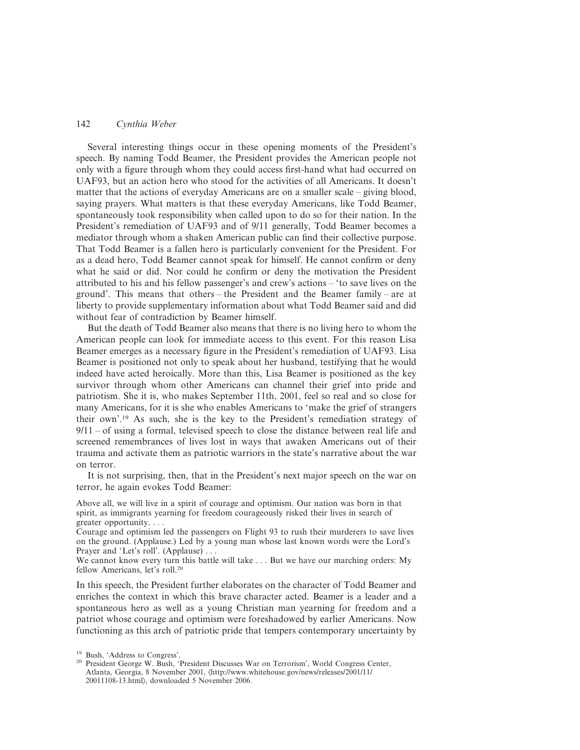Several interesting things occur in these opening moments of the President's speech. By naming Todd Beamer, the President provides the American people not only with a figure through whom they could access first-hand what had occurred on UAF93, but an action hero who stood for the activities of all Americans. It doesn't matter that the actions of everyday Americans are on a smaller scale – giving blood, saying prayers. What matters is that these everyday Americans, like Todd Beamer, spontaneously took responsibility when called upon to do so for their nation. In the President's remediation of UAF93 and of 9/11 generally, Todd Beamer becomes a mediator through whom a shaken American public can find their collective purpose. That Todd Beamer is a fallen hero is particularly convenient for the President. For as a dead hero, Todd Beamer cannot speak for himself. He cannot confirm or deny what he said or did. Nor could he confirm or deny the motivation the President attributed to his and his fellow passenger's and crew's actions – 'to save lives on the ground'. This means that others – the President and the Beamer family – are at liberty to provide supplementary information about what Todd Beamer said and did without fear of contradiction by Beamer himself.

But the death of Todd Beamer also means that there is no living hero to whom the American people can look for immediate access to this event. For this reason Lisa Beamer emerges as a necessary figure in the President's remediation of UAF93. Lisa Beamer is positioned not only to speak about her husband, testifying that he would indeed have acted heroically. More than this, Lisa Beamer is positioned as the key survivor through whom other Americans can channel their grief into pride and patriotism. She it is, who makes September 11th, 2001, feel so real and so close for many Americans, for it is she who enables Americans to 'make the grief of strangers their own'.19 As such, she is the key to the President's remediation strategy of  $9/11$  – of using a formal, televised speech to close the distance between real life and screened remembrances of lives lost in ways that awaken Americans out of their trauma and activate them as patriotic warriors in the state's narrative about the war on terror.

It is not surprising, then, that in the President's next major speech on the war on terror, he again evokes Todd Beamer:

Above all, we will live in a spirit of courage and optimism. Our nation was born in that spirit, as immigrants yearning for freedom courageously risked their lives in search of greater opportunity. . . .

Courage and optimism led the passengers on Flight 93 to rush their murderers to save lives on the ground. (Applause.) Led by a young man whose last known words were the Lord's Prayer and 'Let's roll'. (Applause) . . .

We cannot know every turn this battle will take . . . But we have our marching orders: My fellow Americans, let's roll.20

In this speech, the President further elaborates on the character of Todd Beamer and enriches the context in which this brave character acted. Beamer is a leader and a spontaneous hero as well as a young Christian man yearning for freedom and a patriot whose courage and optimism were foreshadowed by earlier Americans. Now functioning as this arch of patriotic pride that tempers contemporary uncertainty by

<sup>&</sup>lt;sup>19</sup> Bush, 'Address to Congress'.<br><sup>20</sup> President George W. Bush, 'President Discusses War on Terrorism', World Congress Center, Atlanta, Georgia, 8 November 2001, 〈http://www.whitehouse.gov/news/releases/2001/11/ 20011108-13.html〉, downloaded 5 November 2006.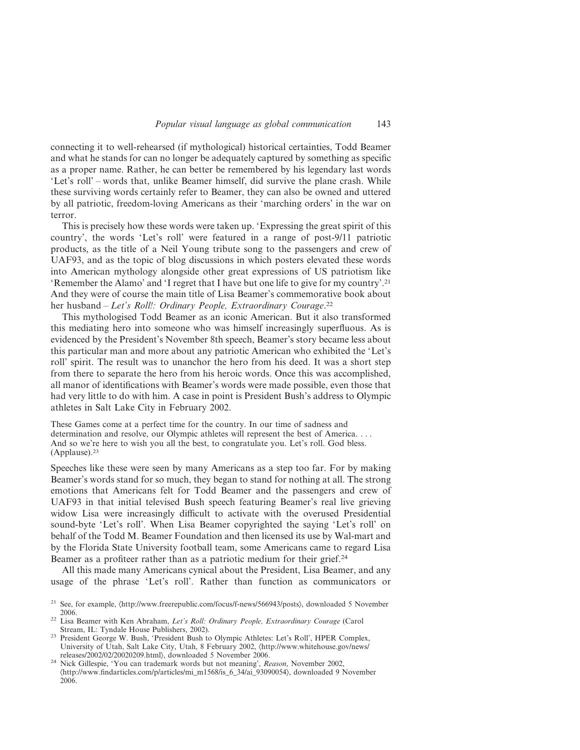connecting it to well-rehearsed (if mythological) historical certainties, Todd Beamer and what he stands for can no longer be adequately captured by something as specific as a proper name. Rather, he can better be remembered by his legendary last words 'Let's roll' – words that, unlike Beamer himself, did survive the plane crash. While these surviving words certainly refer to Beamer, they can also be owned and uttered by all patriotic, freedom-loving Americans as their 'marching orders' in the war on terror.

This is precisely how these words were taken up. 'Expressing the great spirit of this country', the words 'Let's roll' were featured in a range of post-9/11 patriotic products, as the title of a Neil Young tribute song to the passengers and crew of UAF93, and as the topic of blog discussions in which posters elevated these words into American mythology alongside other great expressions of US patriotism like 'Remember the Alamo' and 'I regret that I have but one life to give for my country'.21 And they were of course the main title of Lisa Beamer's commemorative book about her husband – *Let's Roll!: Ordinary People, Extraordinary Courage*.22

This mythologised Todd Beamer as an iconic American. But it also transformed this mediating hero into someone who was himself increasingly superfluous. As is evidenced by the President's November 8th speech, Beamer's story became less about this particular man and more about any patriotic American who exhibited the 'Let's roll' spirit. The result was to unanchor the hero from his deed. It was a short step from there to separate the hero from his heroic words. Once this was accomplished, all manor of identifications with Beamer's words were made possible, even those that had very little to do with him. A case in point is President Bush's address to Olympic athletes in Salt Lake City in February 2002.

These Games come at a perfect time for the country. In our time of sadness and determination and resolve, our Olympic athletes will represent the best of America. . . . And so we're here to wish you all the best, to congratulate you. Let's roll. God bless. (Applause).23

Speeches like these were seen by many Americans as a step too far. For by making Beamer's words stand for so much, they began to stand for nothing at all. The strong emotions that Americans felt for Todd Beamer and the passengers and crew of UAF93 in that initial televised Bush speech featuring Beamer's real live grieving widow Lisa were increasingly difficult to activate with the overused Presidential sound-byte 'Let's roll'. When Lisa Beamer copyrighted the saying 'Let's roll' on behalf of the Todd M. Beamer Foundation and then licensed its use by Wal-mart and by the Florida State University football team, some Americans came to regard Lisa Beamer as a profiteer rather than as a patriotic medium for their grief.24

All this made many Americans cynical about the President, Lisa Beamer, and any usage of the phrase 'Let's roll'. Rather than function as communicators or

<sup>&</sup>lt;sup>21</sup> See, for example,  $\langle$ http://www.freerepublic.com/focus/f-news/566943/posts $\rangle$ , downloaded 5 November

<sup>2006.</sup> <sup>22</sup> Lisa Beamer with Ken Abraham, *Let's Roll: Ordinary People, Extraordinary Courage* (Carol

<sup>&</sup>lt;sup>23</sup> President George W. Bush, 'President Bush to Olympic Athletes: Let's Roll', HPER Complex, University of Utah, Salt Lake City, Utah, 8 February 2002,  $\langle$ http://www.whitehouse.gov/news/<br>releases/2002/02/20020209.html $\rangle$ , downloaded 5 November 2006.

<sup>&</sup>lt;sup>24</sup> Nick Gillespie, 'You can trademark words but not meaning', *Reason*, November 2002, 〈http://www.findarticles.com/p/articles/mi\_m1568/is\_6\_34/ai\_93090054〉, downloaded 9 November 2006.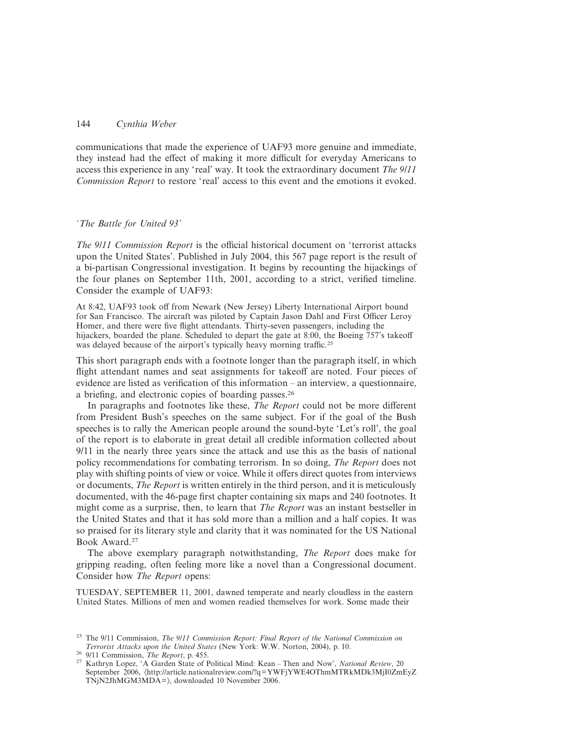communications that made the experience of UAF93 more genuine and immediate, they instead had the effect of making it more difficult for everyday Americans to access this experience in any 'real' way. It took the extraordinary document *The 9/11 Commission Report* to restore 'real' access to this event and the emotions it evoked.

#### *'The Battle for United 93'*

*The 9/11 Commission Report* is the official historical document on 'terrorist attacks upon the United States'. Published in July 2004, this 567 page report is the result of a bi-partisan Congressional investigation. It begins by recounting the hijackings of the four planes on September 11th, 2001, according to a strict, verified timeline. Consider the example of UAF93:

At 8:42, UAF93 took off from Newark (New Jersey) Liberty International Airport bound for San Francisco. The aircraft was piloted by Captain Jason Dahl and First Officer Leroy Homer, and there were five flight attendants. Thirty-seven passengers, including the hijackers, boarded the plane. Scheduled to depart the gate at 8:00, the Boeing 757's takeoff was delayed because of the airport's typically heavy morning traffic.<sup>25</sup>

This short paragraph ends with a footnote longer than the paragraph itself, in which flight attendant names and seat assignments for takeoff are noted. Four pieces of evidence are listed as verification of this information – an interview, a questionnaire, a briefing, and electronic copies of boarding passes.26

In paragraphs and footnotes like these, *The Report* could not be more different from President Bush's speeches on the same subject. For if the goal of the Bush speeches is to rally the American people around the sound-byte 'Let's roll', the goal of the report is to elaborate in great detail all credible information collected about 9/11 in the nearly three years since the attack and use this as the basis of national policy recommendations for combating terrorism. In so doing, *The Report* does not play with shifting points of view or voice. While it offers direct quotes from interviews or documents, *The Report* is written entirely in the third person, and it is meticulously documented, with the 46-page first chapter containing six maps and 240 footnotes. It might come as a surprise, then, to learn that *The Report* was an instant bestseller in the United States and that it has sold more than a million and a half copies. It was so praised for its literary style and clarity that it was nominated for the US National Book Award.27

The above exemplary paragraph notwithstanding, *The Report* does make for gripping reading, often feeling more like a novel than a Congressional document. Consider how *The Report* opens:

TUESDAY, SEPTEMBER 11, 2001, dawned temperate and nearly cloudless in the eastern United States. Millions of men and women readied themselves for work. Some made their

<sup>&</sup>lt;sup>25</sup> The 9/11 Commission, *The 9/11 Commission Report: Final Report of the National Commission on Terrorist Attacks upon the United States (New York: W.W. Norton, 2004), p. 10.* 

<sup>&</sup>lt;sup>26</sup> 9/11 Commission, *The Report*, p. 455.<br><sup>26</sup> 9/11 Commission, *The Report*, p. 455.<br><sup>27</sup> Kathryn Lopez, 'A Garden State of Political Mind: Kean – Then and Now', *National Review*, 20 September 2006, 〈http://article.nationalreview.com/?q=YWFjYWE4OThmMTRkMDk3MjI0ZmEyZ TNjN2JhMGM3MDA=〉, downloaded 10 November 2006.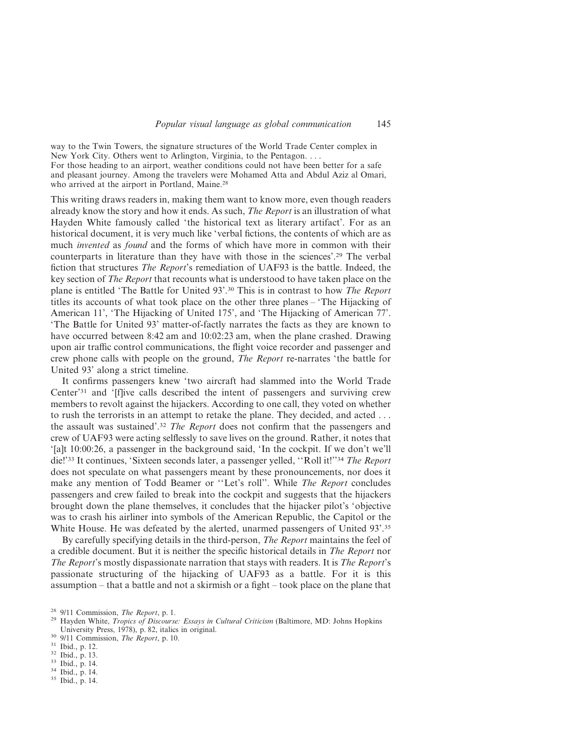way to the Twin Towers, the signature structures of the World Trade Center complex in New York City. Others went to Arlington, Virginia, to the Pentagon. . . .

For those heading to an airport, weather conditions could not have been better for a safe and pleasant journey. Among the travelers were Mohamed Atta and Abdul Aziz al Omari, who arrived at the airport in Portland, Maine.<sup>28</sup>

This writing draws readers in, making them want to know more, even though readers already know the story and how it ends. As such, *The Report* is an illustration of what Hayden White famously called 'the historical text as literary artifact'. For as an historical document, it is very much like 'verbal fictions, the contents of which are as much *invented* as *found* and the forms of which have more in common with their counterparts in literature than they have with those in the sciences'.29 The verbal fiction that structures *The Report*'s remediation of UAF93 is the battle. Indeed, the key section of *The Report* that recounts what is understood to have taken place on the plane is entitled 'The Battle for United 93'.30 This is in contrast to how *The Report* titles its accounts of what took place on the other three planes – 'The Hijacking of American 11', 'The Hijacking of United 175', and 'The Hijacking of American 77'. 'The Battle for United 93' matter-of-factly narrates the facts as they are known to have occurred between 8:42 am and 10:02:23 am, when the plane crashed. Drawing upon air traffic control communications, the flight voice recorder and passenger and crew phone calls with people on the ground, *The Report* re-narrates 'the battle for United 93' along a strict timeline.

It confirms passengers knew 'two aircraft had slammed into the World Trade Center'31 and '[f]ive calls described the intent of passengers and surviving crew members to revolt against the hijackers. According to one call, they voted on whether to rush the terrorists in an attempt to retake the plane. They decided, and acted . . . the assault was sustained'.32 *The Report* does not confirm that the passengers and crew of UAF93 were acting selflessly to save lives on the ground. Rather, it notes that '[a]t 10:00:26, a passenger in the background said, 'In the cockpit. If we don't we'll die!'33 It continues, 'Sixteen seconds later, a passenger yelled, ''Roll it!''34 *The Report* does not speculate on what passengers meant by these pronouncements, nor does it make any mention of Todd Beamer or ''Let's roll''. While *The Report* concludes passengers and crew failed to break into the cockpit and suggests that the hijackers brought down the plane themselves, it concludes that the hijacker pilot's 'objective was to crash his airliner into symbols of the American Republic, the Capitol or the White House. He was defeated by the alerted, unarmed passengers of United 93'.<sup>35</sup>

By carefully specifying details in the third-person, *The Report* maintains the feel of a credible document. But it is neither the specific historical details in *The Report* nor *The Report*'s mostly dispassionate narration that stays with readers. It is *The Report*'s passionate structuring of the hijacking of UAF93 as a battle. For it is this assumption – that a battle and not a skirmish or a fight – took place on the plane that

<sup>30</sup> 9/11 Commission, *The Report*, p. 10.<br><sup>31</sup> Ibid., p. 12.<br><sup>32</sup> Ibid., p. 13.<br><sup>33</sup> Ibid., p. 14.<br><sup>34</sup> Ibid., p. 14. <sup>35</sup> Ibid., p. 14.

<sup>&</sup>lt;sup>28</sup> 9/11 Commission, *The Report*, p. 1.<br><sup>29</sup> Hayden White, *Tropics of Discourse: Essays in Cultural Criticism* (Baltimore, MD: Johns Hopkins<br>University Press, 1978), p. 82, italics in original.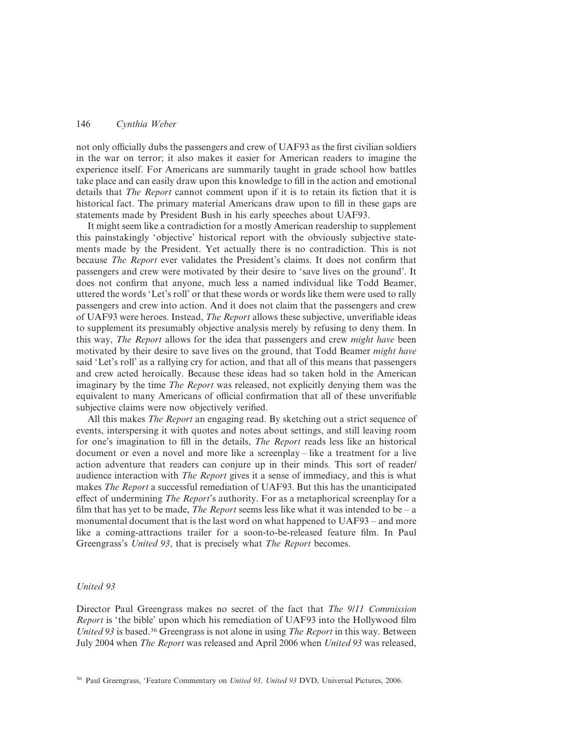not only officially dubs the passengers and crew of UAF93 as the first civilian soldiers in the war on terror; it also makes it easier for American readers to imagine the experience itself. For Americans are summarily taught in grade school how battles take place and can easily draw upon this knowledge to fill in the action and emotional details that *The Report* cannot comment upon if it is to retain its fiction that it is historical fact. The primary material Americans draw upon to fill in these gaps are statements made by President Bush in his early speeches about UAF93.

It might seem like a contradiction for a mostly American readership to supplement this painstakingly 'objective' historical report with the obviously subjective statements made by the President. Yet actually there is no contradiction. This is not because *The Report* ever validates the President's claims. It does not confirm that passengers and crew were motivated by their desire to 'save lives on the ground'. It does not confirm that anyone, much less a named individual like Todd Beamer, uttered the words 'Let's roll' or that these words or words like them were used to rally passengers and crew into action. And it does not claim that the passengers and crew of UAF93 were heroes. Instead, *The Report* allows these subjective, unverifiable ideas to supplement its presumably objective analysis merely by refusing to deny them. In this way, *The Report* allows for the idea that passengers and crew *might have* been motivated by their desire to save lives on the ground, that Todd Beamer *might have* said 'Let's roll' as a rallying cry for action, and that all of this means that passengers and crew acted heroically. Because these ideas had so taken hold in the American imaginary by the time *The Report* was released, not explicitly denying them was the equivalent to many Americans of official confirmation that all of these unverifiable subjective claims were now objectively verified.

All this makes *The Report* an engaging read. By sketching out a strict sequence of events, interspersing it with quotes and notes about settings, and still leaving room for one's imagination to fill in the details, *The Report* reads less like an historical document or even a novel and more like a screenplay – like a treatment for a live action adventure that readers can conjure up in their minds. This sort of reader/ audience interaction with *The Report* gives it a sense of immediacy, and this is what makes *The Report* a successful remediation of UAF93. But this has the unanticipated effect of undermining *The Report*'s authority. For as a metaphorical screenplay for a film that has yet to be made, *The Report* seems less like what it was intended to be – a monumental document that is the last word on what happened to UAF93 – and more like a coming-attractions trailer for a soon-to-be-released feature film. In Paul Greengrass's *United 93*, that is precisely what *The Report* becomes.

#### *United 93*

Director Paul Greengrass makes no secret of the fact that *The 9/11 Commission Report* is 'the bible' upon which his remediation of UAF93 into the Hollywood film *United 93* is based.36 Greengrass is not alone in using *The Report* in this way. Between July 2004 when *The Report* was released and April 2006 when *United 93* was released,

<sup>36</sup> Paul Greengrass, 'Feature Commentary on *United 93, United 93* DVD, Universal Pictures, 2006.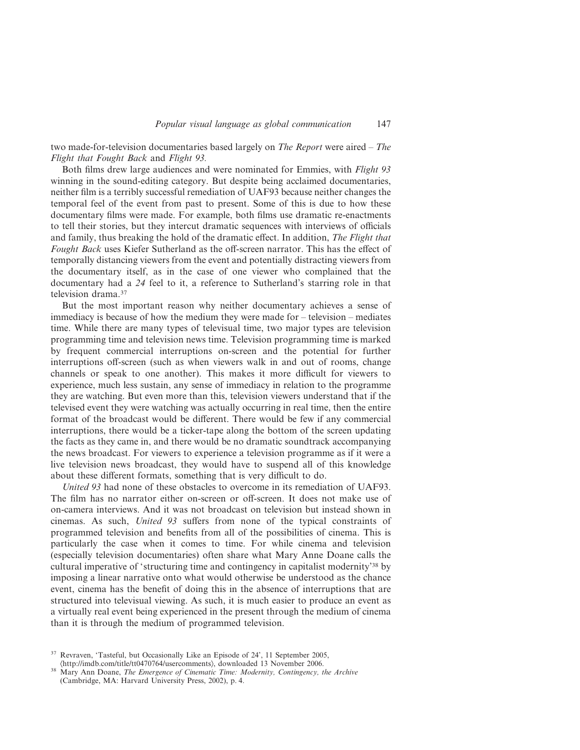two made-for-television documentaries based largely on *The Report* were aired – *The Flight that Fought Back* and *Flight 93.*

Both films drew large audiences and were nominated for Emmies, with *Flight 93* winning in the sound-editing category. But despite being acclaimed documentaries, neither film is a terribly successful remediation of UAF93 because neither changes the temporal feel of the event from past to present. Some of this is due to how these documentary films were made. For example, both films use dramatic re-enactments to tell their stories, but they intercut dramatic sequences with interviews of officials and family, thus breaking the hold of the dramatic effect. In addition, *The Flight that Fought Back* uses Kiefer Sutherland as the off-screen narrator. This has the effect of temporally distancing viewers from the event and potentially distracting viewers from the documentary itself, as in the case of one viewer who complained that the documentary had a *24* feel to it, a reference to Sutherland's starring role in that television drama.37

But the most important reason why neither documentary achieves a sense of immediacy is because of how the medium they were made for – television – mediates time. While there are many types of televisual time, two major types are television programming time and television news time. Television programming time is marked by frequent commercial interruptions on-screen and the potential for further interruptions off-screen (such as when viewers walk in and out of rooms, change channels or speak to one another). This makes it more difficult for viewers to experience, much less sustain, any sense of immediacy in relation to the programme they are watching. But even more than this, television viewers understand that if the televised event they were watching was actually occurring in real time, then the entire format of the broadcast would be different. There would be few if any commercial interruptions, there would be a ticker-tape along the bottom of the screen updating the facts as they came in, and there would be no dramatic soundtrack accompanying the news broadcast. For viewers to experience a television programme as if it were a live television news broadcast, they would have to suspend all of this knowledge about these different formats, something that is very difficult to do.

*United 93* had none of these obstacles to overcome in its remediation of UAF93. The film has no narrator either on-screen or off-screen. It does not make use of on-camera interviews. And it was not broadcast on television but instead shown in cinemas. As such, *United 93* suffers from none of the typical constraints of programmed television and benefits from all of the possibilities of cinema. This is particularly the case when it comes to time. For while cinema and television (especially television documentaries) often share what Mary Anne Doane calls the cultural imperative of 'structuring time and contingency in capitalist modernity'38 by imposing a linear narrative onto what would otherwise be understood as the chance event, cinema has the benefit of doing this in the absence of interruptions that are structured into televisual viewing. As such, it is much easier to produce an event as a virtually real event being experienced in the present through the medium of cinema than it is through the medium of programmed television.

<sup>&</sup>lt;sup>37</sup> Revraven, 'Tasteful, but Occasionally Like an Episode of  $24'$ , 11 September 2005,  $\frac{\text{http://imb.com/title/tt0470764/usercomments}}{\text{http://imb.com/title/tt0470764/usercomments}}$ , downloaded 13 November 2006.

<sup>&</sup>lt;sup>38</sup> Mary Ann Doane, *The Emergence of Cinematic Time: Modernity, Contingency, the Archive* (Cambridge, MA: Harvard University Press, 2002), p. 4.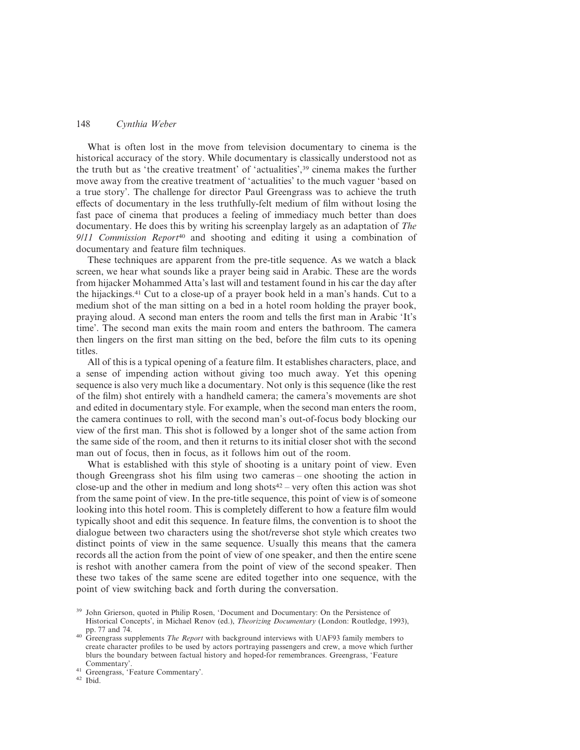What is often lost in the move from television documentary to cinema is the historical accuracy of the story. While documentary is classically understood not as the truth but as 'the creative treatment' of 'actualities',39 cinema makes the further move away from the creative treatment of 'actualities' to the much vaguer 'based on a true story'. The challenge for director Paul Greengrass was to achieve the truth effects of documentary in the less truthfully-felt medium of film without losing the fast pace of cinema that produces a feeling of immediacy much better than does documentary. He does this by writing his screenplay largely as an adaptation of *The 9/11 Commission Report*<sup>40</sup> and shooting and editing it using a combination of documentary and feature film techniques.

These techniques are apparent from the pre-title sequence. As we watch a black screen, we hear what sounds like a prayer being said in Arabic. These are the words from hijacker Mohammed Atta's last will and testament found in his car the day after the hijackings.41 Cut to a close-up of a prayer book held in a man's hands. Cut to a medium shot of the man sitting on a bed in a hotel room holding the prayer book, praying aloud. A second man enters the room and tells the first man in Arabic 'It's time'. The second man exits the main room and enters the bathroom. The camera then lingers on the first man sitting on the bed, before the film cuts to its opening titles.

All of this is a typical opening of a feature film. It establishes characters, place, and a sense of impending action without giving too much away. Yet this opening sequence is also very much like a documentary. Not only is this sequence (like the rest of the film) shot entirely with a handheld camera; the camera's movements are shot and edited in documentary style. For example, when the second man enters the room, the camera continues to roll, with the second man's out-of-focus body blocking our view of the first man. This shot is followed by a longer shot of the same action from the same side of the room, and then it returns to its initial closer shot with the second man out of focus, then in focus, as it follows him out of the room.

What is established with this style of shooting is a unitary point of view. Even though Greengrass shot his film using two cameras – one shooting the action in close-up and the other in medium and long shots $42 -$  very often this action was shot from the same point of view. In the pre-title sequence, this point of view is of someone looking into this hotel room. This is completely different to how a feature film would typically shoot and edit this sequence. In feature films, the convention is to shoot the dialogue between two characters using the shot/reverse shot style which creates two distinct points of view in the same sequence. Usually this means that the camera records all the action from the point of view of one speaker, and then the entire scene is reshot with another camera from the point of view of the second speaker. Then these two takes of the same scene are edited together into one sequence, with the point of view switching back and forth during the conversation.

<sup>&</sup>lt;sup>39</sup> John Grierson, quoted in Philip Rosen, 'Document and Documentary: On the Persistence of Historical Concepts', in Michael Renov (ed.), *Theorizing Documentary* (London: Routledge, 1993),

pp. 77 and 74. <sup>40</sup> Greengrass supplements *The Report* with background interviews with UAF93 family members to create character profiles to be used by actors portraying passengers and crew, a move which further blurs the boundary between factual history and hoped-for remembrances. Greengrass, 'Feature

Commentary'. <sup>41</sup> Greengrass, 'Feature Commentary'. <sup>42</sup> Ibid.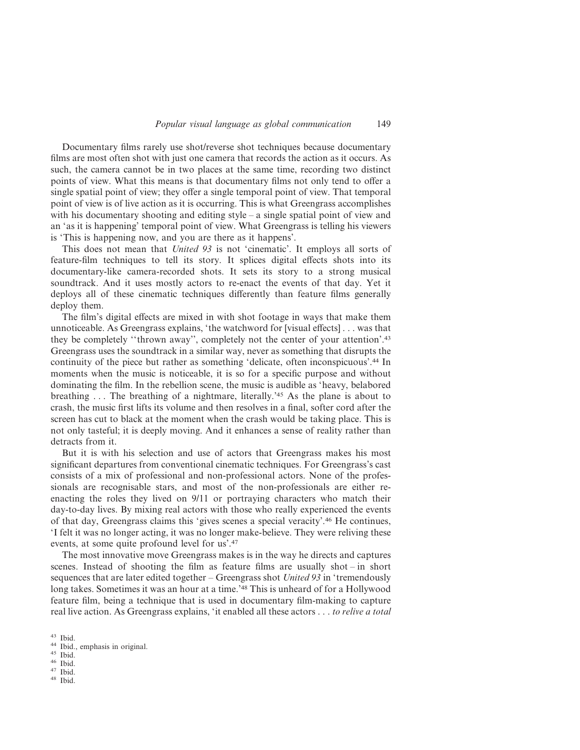Documentary films rarely use shot/reverse shot techniques because documentary films are most often shot with just one camera that records the action as it occurs. As such, the camera cannot be in two places at the same time, recording two distinct points of view. What this means is that documentary films not only tend to offer a single spatial point of view; they offer a single temporal point of view. That temporal point of view is of live action as it is occurring. This is what Greengrass accomplishes with his documentary shooting and editing style – a single spatial point of view and an 'as it is happening' temporal point of view. What Greengrass is telling his viewers is 'This is happening now, and you are there as it happens'.

This does not mean that *United 93* is not 'cinematic'. It employs all sorts of feature-film techniques to tell its story. It splices digital effects shots into its documentary-like camera-recorded shots. It sets its story to a strong musical soundtrack. And it uses mostly actors to re-enact the events of that day. Yet it deploys all of these cinematic techniques differently than feature films generally deploy them.

The film's digital effects are mixed in with shot footage in ways that make them unnoticeable. As Greengrass explains, 'the watchword for [visual effects] . . . was that they be completely ''thrown away'', completely not the center of your attention'.43 Greengrass uses the soundtrack in a similar way, never as something that disrupts the continuity of the piece but rather as something 'delicate, often inconspicuous'.44 In moments when the music is noticeable, it is so for a specific purpose and without dominating the film. In the rebellion scene, the music is audible as 'heavy, belabored breathing . . . The breathing of a nightmare, literally.'45 As the plane is about to crash, the music first lifts its volume and then resolves in a final, softer cord after the screen has cut to black at the moment when the crash would be taking place. This is not only tasteful; it is deeply moving. And it enhances a sense of reality rather than detracts from it.

But it is with his selection and use of actors that Greengrass makes his most significant departures from conventional cinematic techniques. For Greengrass's cast consists of a mix of professional and non-professional actors. None of the professionals are recognisable stars, and most of the non-professionals are either reenacting the roles they lived on 9/11 or portraying characters who match their day-to-day lives. By mixing real actors with those who really experienced the events of that day, Greengrass claims this 'gives scenes a special veracity'.46 He continues, 'I felt it was no longer acting, it was no longer make-believe. They were reliving these events, at some quite profound level for us'.47

The most innovative move Greengrass makes is in the way he directs and captures scenes. Instead of shooting the film as feature films are usually shot – in short sequences that are later edited together – Greengrass shot *United 93* in 'tremendously long takes. Sometimes it was an hour at a time.'48 This is unheard of for a Hollywood feature film, being a technique that is used in documentary film-making to capture real live action. As Greengrass explains, 'it enabled all these actors . . . *to relive a total*

<sup>&</sup>lt;sup>43</sup> Ibid.<br><sup>44</sup> Ibid., emphasis in original.<br><sup>45</sup> Ibid.<br><sup>47</sup> Ibid. <sup>48</sup> Ibid.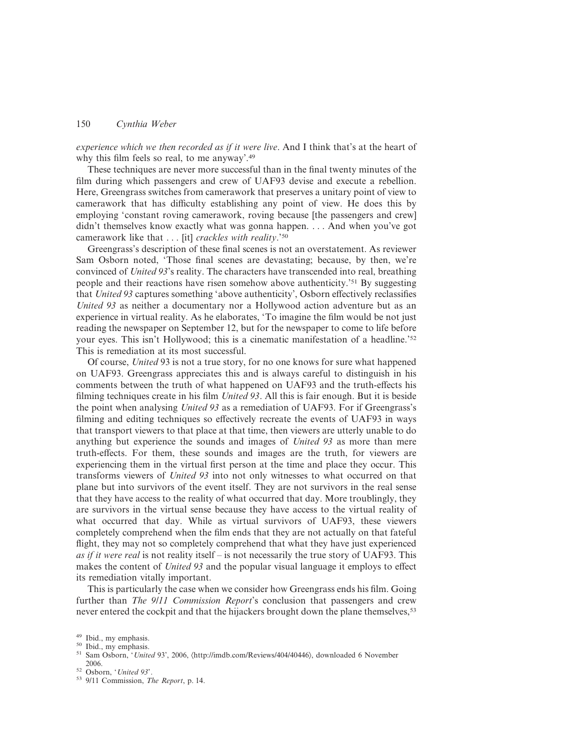*experience which we then recorded as if it were live*. And I think that's at the heart of why this film feels so real, to me anyway'.49

These techniques are never more successful than in the final twenty minutes of the film during which passengers and crew of UAF93 devise and execute a rebellion. Here, Greengrass switches from camerawork that preserves a unitary point of view to camerawork that has difficulty establishing any point of view. He does this by employing 'constant roving camerawork, roving because [the passengers and crew] didn't themselves know exactly what was gonna happen. . . . And when you've got camerawork like that . . . [it] *crackles with reality*.'50

Greengrass's description of these final scenes is not an overstatement. As reviewer Sam Osborn noted, 'Those final scenes are devastating; because, by then, we're convinced of *United 93*'s reality. The characters have transcended into real, breathing people and their reactions have risen somehow above authenticity.'51 By suggesting that *United 93* captures something 'above authenticity', Osborn effectively reclassifies *United 93* as neither a documentary nor a Hollywood action adventure but as an experience in virtual reality. As he elaborates, 'To imagine the film would be not just reading the newspaper on September 12, but for the newspaper to come to life before your eyes. This isn't Hollywood; this is a cinematic manifestation of a headline.'52 This is remediation at its most successful.

Of course, *United* 93 is not a true story, for no one knows for sure what happened on UAF93. Greengrass appreciates this and is always careful to distinguish in his comments between the truth of what happened on UAF93 and the truth-effects his filming techniques create in his film *United 93*. All this is fair enough. But it is beside the point when analysing *United 93* as a remediation of UAF93. For if Greengrass's filming and editing techniques so effectively recreate the events of UAF93 in ways that transport viewers to that place at that time, then viewers are utterly unable to do anything but experience the sounds and images of *United 93* as more than mere truth-effects. For them, these sounds and images are the truth, for viewers are experiencing them in the virtual first person at the time and place they occur. This transforms viewers of *United 93* into not only witnesses to what occurred on that plane but into survivors of the event itself. They are not survivors in the real sense that they have access to the reality of what occurred that day. More troublingly, they are survivors in the virtual sense because they have access to the virtual reality of what occurred that day. While as virtual survivors of UAF93, these viewers completely comprehend when the film ends that they are not actually on that fateful flight, they may not so completely comprehend that what they have just experienced *as if it were real* is not reality itself – is not necessarily the true story of UAF93. This makes the content of *United 93* and the popular visual language it employs to effect its remediation vitally important.

This is particularly the case when we consider how Greengrass ends his film. Going further than *The 9/11 Commission Report*'s conclusion that passengers and crew never entered the cockpit and that the hijackers brought down the plane themselves,<sup>53</sup>

<sup>&</sup>lt;sup>49</sup> Ibid., my emphasis.<br><sup>50</sup> Ibid., my emphasis.<br><sup>51</sup> Sam Osborn, '*United* 93', 2006, 〈http://imdb.com/Reviews/404/40446〉, downloaded 6 November 2006. <sup>52</sup> Osborn, '*United 93*'. <sup>53</sup> 9/11 Commission, *The Report*, p. 14.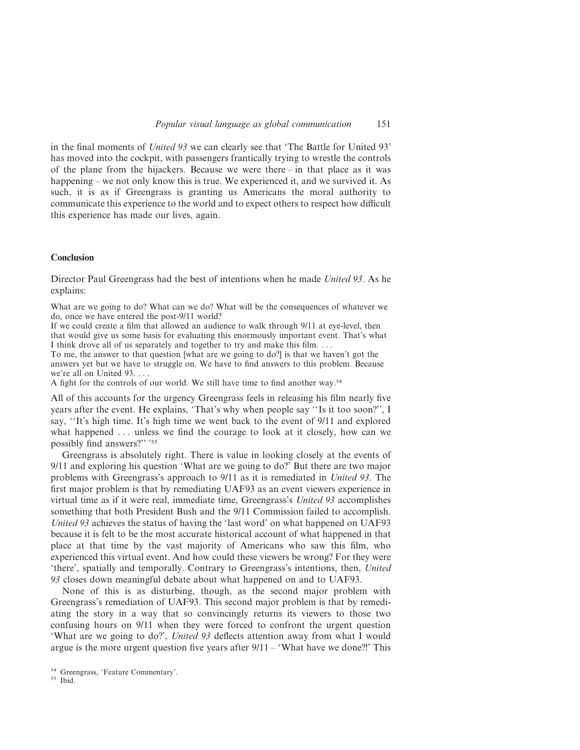in the final moments of *United 93* we can clearly see that 'The Battle for United 93' has moved into the cockpit, with passengers frantically trying to wrestle the controls of the plane from the hijackers. Because we were there – in that place as it was happening – we not only know this is true. We experienced it, and we survived it. As such, it is as if Greengrass is granting us Americans the moral authority to communicate this experience to the world and to expect others to respect how difficult this experience has made our lives, again.

#### **Conclusion**

Director Paul Greengrass had the best of intentions when he made *United 93*. As he explains:

What are we going to do? What can we do? What will be the consequences of whatever we do, once we have entered the post-9/11 world?

If we could create a film that allowed an audience to walk through 9/11 at eye-level, then that would give us some basis for evaluating this enormously important event. That's what I think drove all of us separately and together to try and make this film. . . .

To me, the answer to that question [what are we going to do?] is that we haven't got the answers yet but we have to struggle on. We have to find answers to this problem. Because we're all on United 93. . . .

A fight for the controls of our world. We still have time to find another way.54

All of this accounts for the urgency Greengrass feels in releasing his film nearly five years after the event. He explains, 'That's why when people say ''Is it too soon?'', I say, ''It's high time. It's high time we went back to the event of 9/11 and explored what happened ... unless we find the courage to look at it closely, how can we possibly find answers?'' '55

Greengrass is absolutely right. There is value in looking closely at the events of 9/11 and exploring his question 'What are we going to do?' But there are two major problems with Greengrass's approach to 9/11 as it is remediated in *United 93*. The first major problem is that by remediating UAF93 as an event viewers experience in virtual time as if it were real, immediate time, Greengrass's *United 93* accomplishes something that both President Bush and the 9/11 Commission failed to accomplish. *United 93* achieves the status of having the 'last word' on what happened on UAF93 because it is felt to be the most accurate historical account of what happened in that place at that time by the vast majority of Americans who saw this film, who experienced this virtual event. And how could these viewers be wrong? For they were 'there', spatially and temporally. Contrary to Greengrass's intentions, then, *United 93* closes down meaningful debate about what happened on and to UAF93.

None of this is as disturbing, though, as the second major problem with Greengrass's remediation of UAF93. This second major problem is that by remediating the story in a way that so convincingly returns its viewers to those two confusing hours on 9/11 when they were forced to confront the urgent question 'What are we going to do?', *United 93* deflects attention away from what I would argue is the more urgent question five years after 9/11 – 'What have we done?!' This

<sup>&</sup>lt;sup>54</sup> Greengrass, 'Feature Commentary'.<br><sup>55</sup> Ibid.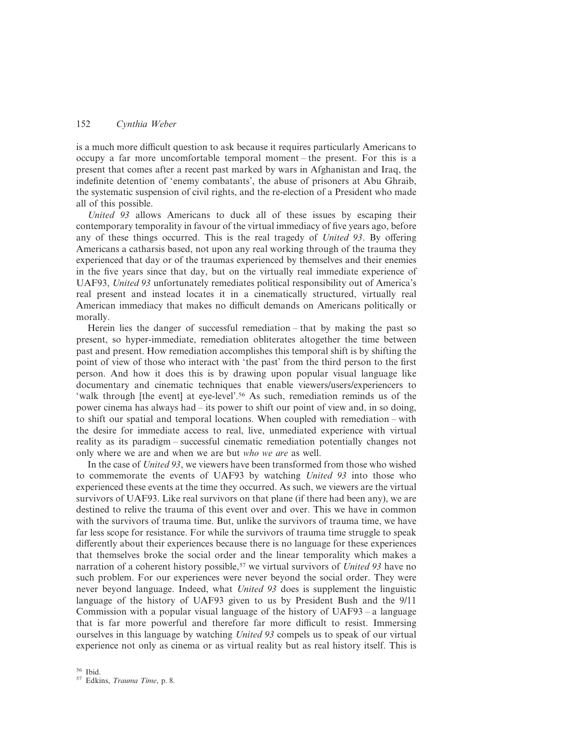is a much more difficult question to ask because it requires particularly Americans to occupy a far more uncomfortable temporal moment – the present. For this is a present that comes after a recent past marked by wars in Afghanistan and Iraq, the indefinite detention of 'enemy combatants', the abuse of prisoners at Abu Ghraib, the systematic suspension of civil rights, and the re-election of a President who made all of this possible.

*United 93* allows Americans to duck all of these issues by escaping their contemporary temporality in favour of the virtual immediacy of five years ago, before any of these things occurred. This is the real tragedy of *United 93*. By offering Americans a catharsis based, not upon any real working through of the trauma they experienced that day or of the traumas experienced by themselves and their enemies in the five years since that day, but on the virtually real immediate experience of UAF93, *United 93* unfortunately remediates political responsibility out of America's real present and instead locates it in a cinematically structured, virtually real American immediacy that makes no difficult demands on Americans politically or morally.

Herein lies the danger of successful remediation – that by making the past so present, so hyper-immediate, remediation obliterates altogether the time between past and present. How remediation accomplishes this temporal shift is by shifting the point of view of those who interact with 'the past' from the third person to the first person. And how it does this is by drawing upon popular visual language like documentary and cinematic techniques that enable viewers/users/experiencers to 'walk through [the event] at eye-level'.56 As such, remediation reminds us of the power cinema has always had – its power to shift our point of view and, in so doing, to shift our spatial and temporal locations. When coupled with remediation – with the desire for immediate access to real, live, unmediated experience with virtual reality as its paradigm – successful cinematic remediation potentially changes not only where we are and when we are but *who we are* as well.

In the case of *United 93*, we viewers have been transformed from those who wished to commemorate the events of UAF93 by watching *United 93* into those who experienced these events at the time they occurred. As such, we viewers are the virtual survivors of UAF93. Like real survivors on that plane (if there had been any), we are destined to relive the trauma of this event over and over. This we have in common with the survivors of trauma time. But, unlike the survivors of trauma time, we have far less scope for resistance. For while the survivors of trauma time struggle to speak differently about their experiences because there is no language for these experiences that themselves broke the social order and the linear temporality which makes a narration of a coherent history possible,<sup>57</sup> we virtual survivors of *United 93* have no such problem. For our experiences were never beyond the social order. They were never beyond language. Indeed, what *United 93* does is supplement the linguistic language of the history of UAF93 given to us by President Bush and the 9/11 Commission with a popular visual language of the history of UAF93 – a language that is far more powerful and therefore far more difficult to resist. Immersing ourselves in this language by watching *United 93* compels us to speak of our virtual experience not only as cinema or as virtual reality but as real history itself. This is

<sup>56</sup> Ibid. <sup>57</sup> Edkins, *Trauma Time*, p. 8.